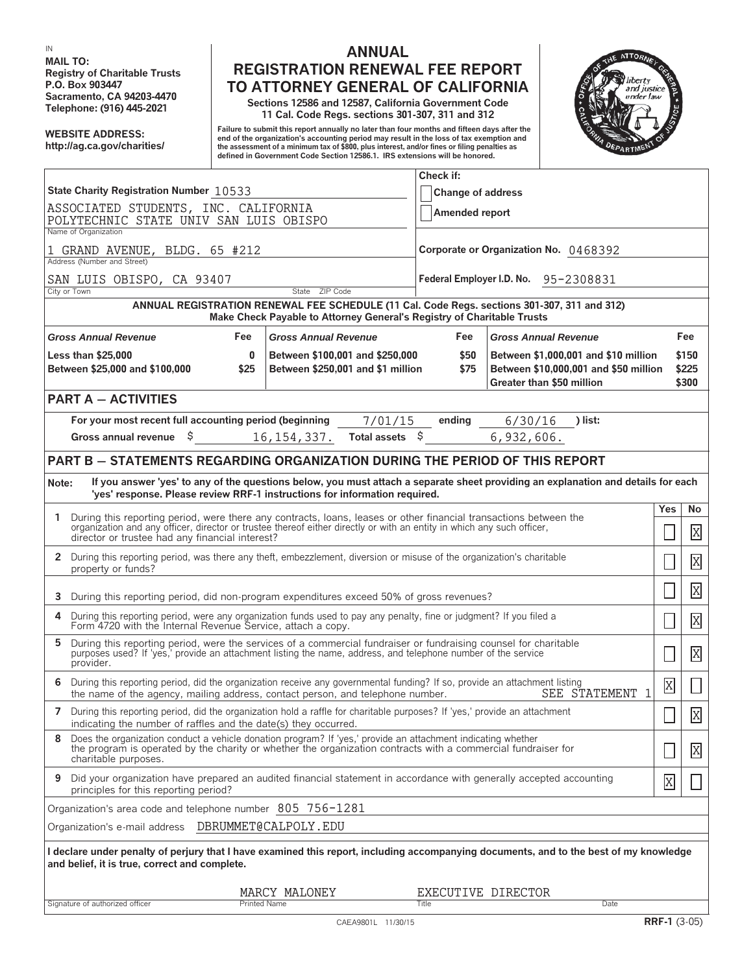**MAIL TO:**

## **IN ANNUAL Registry of Charitable Trusts**<br> **REGISTRATION RENEWAL FEE REPORT**<br> **REGISTRATION RENEWAL FEE REPORT**<br> **REGISTRATION RENERAL OF CALIFORNIA P.O. Box 903447 TO ATTORNEY GENERAL OF CALIFORNIA**

**Sacramento, CA 94203-4470 Sections 12586 and 12587, California Government Code Telephone: (916) 445-2021 11 Cal. Code Regs. sections 301-307, 311 and 312**

Failure to submit this report annually no later than four months and fifteen days after the<br>Internalization's accounting period in the loss of tax exemption and the loss of the loss of the loss of the c<br>Inte assessment of **defined in Government Code Section 12586.1. IRS extensions will be honored.**



|                                                                                                                                                                                                                                                                                                  |                                                                      | Check if:                             |                                                                                                            |                |                               |  |
|--------------------------------------------------------------------------------------------------------------------------------------------------------------------------------------------------------------------------------------------------------------------------------------------------|----------------------------------------------------------------------|---------------------------------------|------------------------------------------------------------------------------------------------------------|----------------|-------------------------------|--|
| State Charity Registration Number 10533                                                                                                                                                                                                                                                          | <b>Change of address</b>                                             |                                       |                                                                                                            |                |                               |  |
| ASSOCIATED STUDENTS, INC. CALIFORNIA                                                                                                                                                                                                                                                             |                                                                      |                                       |                                                                                                            |                |                               |  |
| POLYTECHNIC STATE UNIV SAN LUIS OBISPO<br>Name of Organization                                                                                                                                                                                                                                   | Amended report                                                       |                                       |                                                                                                            |                |                               |  |
| 1 GRAND AVENUE, BLDG. 65 #212<br>Address (Number and Street)                                                                                                                                                                                                                                     |                                                                      | Corporate or Organization No. 0468392 |                                                                                                            |                |                               |  |
| SAN LUIS OBISPO, CA 93407                                                                                                                                                                                                                                                                        | Federal Employer I.D. No. 95-2308831                                 |                                       |                                                                                                            |                |                               |  |
| State ZIP Code<br>City or Town                                                                                                                                                                                                                                                                   |                                                                      |                                       |                                                                                                            |                |                               |  |
| ANNUAL REGISTRATION RENEWAL FEE SCHEDULE (11 Cal. Code Regs. sections 301-307, 311 and 312)<br>Make Check Payable to Attorney General's Registry of Charitable Trusts                                                                                                                            |                                                                      |                                       |                                                                                                            |                |                               |  |
| <b>Gross Annual Revenue</b><br>Fee<br><b>Gross Annual Revenue</b>                                                                                                                                                                                                                                |                                                                      | Fee                                   | <b>Gross Annual Revenue</b>                                                                                |                | Fee                           |  |
| <b>Less than \$25,000</b><br>$\bf{0}$<br>Between \$25,000 and \$100,000<br>\$25                                                                                                                                                                                                                  | Between \$100,001 and \$250,000<br>Between \$250,001 and \$1 million | \$50<br>\$75                          | Between \$1,000,001 and \$10 million<br>Between \$10,000,001 and \$50 million<br>Greater than \$50 million |                | \$150<br>\$225<br>\$300       |  |
| <b>PART A - ACTIVITIES</b>                                                                                                                                                                                                                                                                       |                                                                      |                                       |                                                                                                            |                |                               |  |
| For your most recent full accounting period (beginning<br>Gross annual revenue<br>\$                                                                                                                                                                                                             | 7/01/15<br>Total assets \$<br>16, 154, 337.                          | ending                                | 6/30/16<br>) list:<br>6,932,606.                                                                           |                |                               |  |
|                                                                                                                                                                                                                                                                                                  |                                                                      |                                       |                                                                                                            |                |                               |  |
| <b>PART B - STATEMENTS REGARDING ORGANIZATION DURING THE PERIOD OF THIS REPORT</b>                                                                                                                                                                                                               |                                                                      |                                       |                                                                                                            |                |                               |  |
| If you answer 'yes' to any of the questions below, you must attach a separate sheet providing an explanation and details for each<br>Note:<br>'yes' response. Please review RRF-1 instructions for information required.                                                                         |                                                                      |                                       |                                                                                                            |                |                               |  |
| 1 During this reporting period, were there any contracts, loans, leases or other financial transactions between the<br>organization and any officer, director or trustee thereof either directly or with an entity in which any such officer,<br>director or trustee had any financial interest? |                                                                      |                                       |                                                                                                            | Yes            | No                            |  |
|                                                                                                                                                                                                                                                                                                  |                                                                      |                                       |                                                                                                            |                | X                             |  |
| 2 During this reporting period, was there any theft, embezzlement, diversion or misuse of the organization's charitable<br>property or funds?                                                                                                                                                    |                                                                      |                                       |                                                                                                            |                | $\overline{\mathrm{X}}$       |  |
| During this reporting period, did non-program expenditures exceed 50% of gross revenues?<br>3                                                                                                                                                                                                    |                                                                      |                                       |                                                                                                            |                | $\overline{\mathrm{X}}$       |  |
| During this reporting period, were any organization funds used to pay any penalty, fine or judgment? If you filed a<br>4<br>Form 4720 with the Internal Revenue Service, attach a copy.                                                                                                          |                                                                      |                                       |                                                                                                            |                | $\overline{\mathrm{X}}$       |  |
| During this reporting period, were the services of a commercial fundraiser or fundraising counsel for charitable<br>5<br>purposes used? If 'yes,' provide an attachment listing the name, address, and telephone number of the service<br>provider.                                              |                                                                      |                                       |                                                                                                            |                | $\overline{\mathrm{X}}$       |  |
| 6 During this reporting period, did the organization receive any governmental funding? If so, provide an attachment listing<br>SEE STATEMENT 1<br>the name of the agency, mailing address, contact person, and telephone number.                                                                 |                                                                      |                                       |                                                                                                            | $\overline{X}$ | Ц                             |  |
| 7 During this reporting period, did the organization hold a raffle for charitable purposes? If 'yes,' provide an attachment<br>indicating the number of raffles and the date(s) they occurred.                                                                                                   |                                                                      |                                       |                                                                                                            |                | $\overline{\mathrm{X}}$<br>تت |  |
| Does the organization conduct a vehicle donation program? If 'yes,' provide an attachment indicating whether<br>8<br>the program is operated by the charity or whether the organization contracts with a commercial fundraiser for<br>charitable purposes.                                       |                                                                      |                                       |                                                                                                            |                | X                             |  |
| Did your organization have prepared an audited financial statement in accordance with generally accepted accounting<br>9<br>principles for this reporting period?                                                                                                                                |                                                                      |                                       |                                                                                                            | X              |                               |  |
| Organization's area code and telephone number 805 756-1281                                                                                                                                                                                                                                       |                                                                      |                                       |                                                                                                            |                |                               |  |
| Organization's e-mail address  DBRUMMET@CALPOLY.EDU                                                                                                                                                                                                                                              |                                                                      |                                       |                                                                                                            |                |                               |  |
| I declare under penalty of perjury that I have examined this report, including accompanying documents, and to the best of my knowledge<br>and belief, it is true, correct and complete.                                                                                                          |                                                                      |                                       |                                                                                                            |                |                               |  |
|                                                                                                                                                                                                                                                                                                  | MARCY MALONEY                                                        | EXECUTIVE DIRECTOR                    |                                                                                                            |                |                               |  |
| Signature of authorized officer                                                                                                                                                                                                                                                                  | <b>Printed Name</b>                                                  | Title                                 | Date                                                                                                       |                |                               |  |